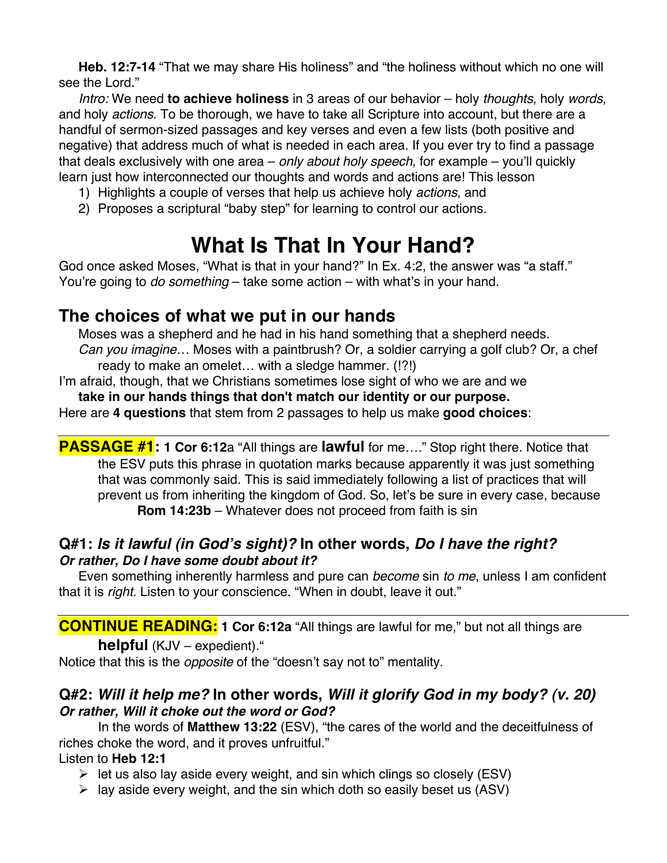**Heb. 12:7-14** "That we may share His holiness" and "the holiness without which no one will see the Lord."

*Intro:* We need **to achieve holiness** in 3 areas of our behavior – holy *thoughts*, holy *words*, and holy *actions*. To be thorough, we have to take all Scripture into account, but there are a handful of sermon-sized passages and key verses and even a few lists (both positive and negative) that address much of what is needed in each area. If you ever try to find a passage that deals exclusively with one area – *only about holy speech*, for example – you'll quickly learn just how interconnected our thoughts and words and actions are! This lesson

- 1) Highlights a couple of verses that help us achieve holy *actions,* and
- 2) Proposes a scriptural "baby step" for learning to control our actions.

# **What Is That In Your Hand?**

God once asked Moses, "What is that in your hand?" In Ex. 4:2, the answer was "a staff." You're going to *do something* – take some action – with what's in your hand.

# **The choices of what we put in our hands**

Moses was a shepherd and he had in his hand something that a shepherd needs. *Can you imagine…* Moses with a paintbrush? Or, a soldier carrying a golf club? Or, a chef ready to make an omelet… with a sledge hammer. (!?!)

I'm afraid, though, that we Christians sometimes lose sight of who we are and we

**take in our hands things that don't match our identity or our purpose.**

Here are **4 questions** that stem from 2 passages to help us make **good choices**:

**PASSAGE #1: 1 Cor 6:12**a "All things are **lawful** for me…." Stop right there. Notice that the ESV puts this phrase in quotation marks because apparently it was just something that was commonly said. This is said immediately following a list of practices that will prevent us from inheriting the kingdom of God. So, let's be sure in every case, because **Rom 14:23b** – Whatever does not proceed from faith is sin

## **Q#1:** *Is it lawful (in God***'***s sight)?* **In other words,** *Do I have the right? Or rather, Do I have some doubt about it?*

Even something inherently harmless and pure can *become* sin *to me*, unless I am confident that it is *right.* Listen to your conscience. "When in doubt, leave it out."

**CONTINUE READING: 1 Cor 6:12a** "All things are lawful for me," but not all things are

#### **helpful** (KJV – expedient)."

Notice that this is the *opposite* of the "doesn't say not to" mentality.

## **Q#2:** *Will it help me?* **In other words,** *Will it glorify God in my body? (v. 20) Or rather, Will it choke out the word or God?*

In the words of **Matthew 13:22** (ESV), "the cares of the world and the deceitfulness of riches choke the word, and it proves unfruitful."

Listen to **Heb 12:1**

- $\triangleright$  let us also lay aside every weight, and sin which clings so closely (ESV)
- $\triangleright$  lay aside every weight, and the sin which doth so easily beset us (ASV)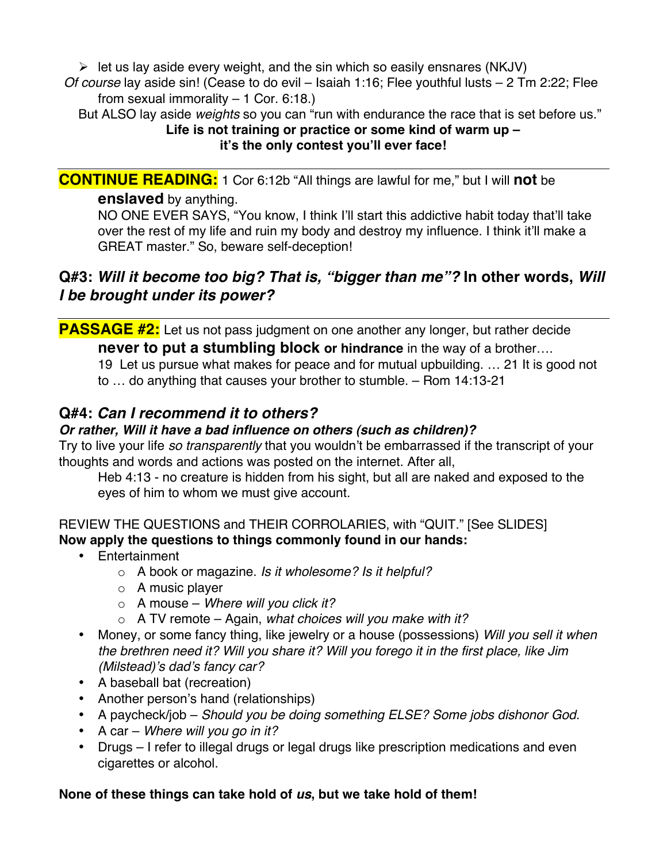$\triangleright$  let us lay aside every weight, and the sin which so easily ensnares (NKJV)

*Of course* lay aside sin! (Cease to do evil – Isaiah 1:16; Flee youthful lusts – 2 Tm 2:22; Flee from sexual immorality  $-1$  Cor. 6:18.)

But ALSO lay aside *weights* so you can "run with endurance the race that is set before us."

#### **Life is not training or practice or some kind of warm up – it's the only contest you'll ever face!**

**CONTINUE READING:** 1 Cor 6:12b "All things are lawful for me," but I will **not** be

#### **enslaved** by anything.

NO ONE EVER SAYS, "You know, I think I'll start this addictive habit today that'll take over the rest of my life and ruin my body and destroy my influence. I think it'll make a GREAT master." So, beware self-deception!

# **Q#3:** *Will it become too big? That is, "bigger than me"?* **In other words,** *Will I be brought under its power?*

**PASSAGE #2:** Let us not pass judgment on one another any longer, but rather decide **never to put a stumbling block or hindrance** in the way of a brother….

19 Let us pursue what makes for peace and for mutual upbuilding. … 21 It is good not to … do anything that causes your brother to stumble. – Rom 14:13-21

# **Q#4:** *Can I recommend it to others?*

## *Or rather, Will it have a bad influence on others (such as children)?*

Try to live your life *so transparently* that you wouldn't be embarrassed if the transcript of your thoughts and words and actions was posted on the internet. After all,

Heb 4:13 - no creature is hidden from his sight, but all are naked and exposed to the eyes of him to whom we must give account.

#### REVIEW THE QUESTIONS and THEIR CORROLARIES, with "QUIT." [See SLIDES] **Now apply the questions to things commonly found in our hands:**

- Entertainment
	- o A book or magazine. *Is it wholesome? Is it helpful?*
	- o A music player
	- o A mouse *Where will you click it?*
	- o A TV remote Again, *what choices will you make with it?*
- Money, or some fancy thing, like jewelry or a house (possessions) *Will you sell it when the brethren need it? Will you share it? Will you forego it in the first place, like Jim (Milstead)*'*s dad*'*s fancy car?*
- A baseball bat (recreation)
- Another person's hand (relationships)
- A paycheck/job *Should you be doing something ELSE? Some jobs dishonor God.*
- A car *Where will you go in it?*
- Drugs I refer to illegal drugs or legal drugs like prescription medications and even cigarettes or alcohol.

## **None of these things can take hold of** *us***, but we take hold of them!**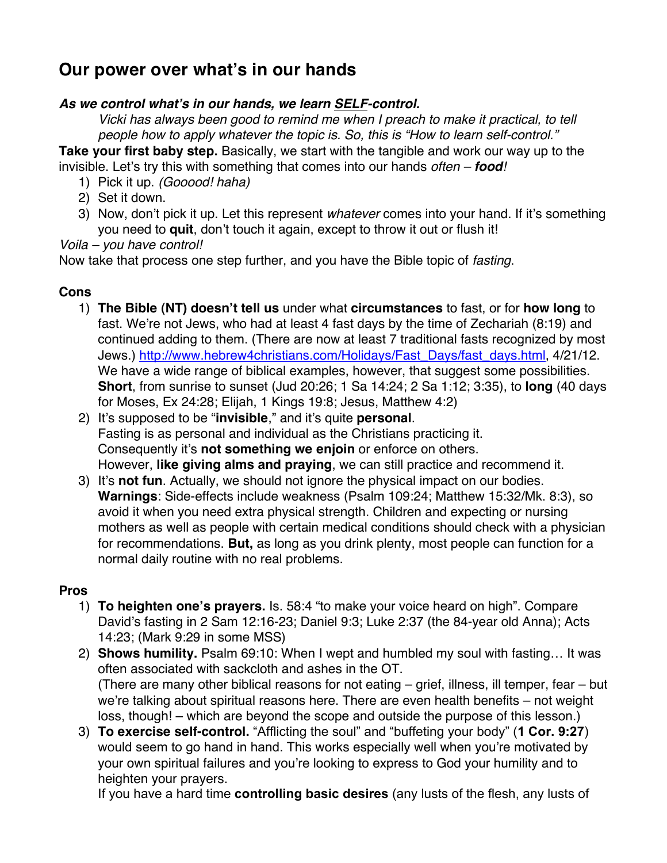# **Our power over what's in our hands**

#### *As we control what***'***s in our hands, we learn SELF-control.*

*Vicki has always been good to remind me when I preach to make it practical, to tell people how to apply whatever the topic is. So, this is "How to learn self-control."*

**Take your first baby step.** Basically, we start with the tangible and work our way up to the invisible. Let's try this with something that comes into our hands *often – food!*

- 1) Pick it up. *(Gooood! haha)*
- 2) Set it down.
- 3) Now, don't pick it up. Let this represent *whatever* comes into your hand. If it's something you need to **quit**, don't touch it again, except to throw it out or flush it!

*Voila – you have control!*

Now take that process one step further, and you have the Bible topic of *fasting*.

#### **Cons**

- 1) **The Bible (NT) doesn't tell us** under what **circumstances** to fast, or for **how long** to fast. We're not Jews, who had at least 4 fast days by the time of Zechariah (8:19) and continued adding to them. (There are now at least 7 traditional fasts recognized by most Jews.) http://www.hebrew4christians.com/Holidays/Fast\_Days/fast\_days.html, 4/21/12. We have a wide range of biblical examples, however, that suggest some possibilities. **Short**, from sunrise to sunset (Jud 20:26; 1 Sa 14:24; 2 Sa 1:12; 3:35), to **long** (40 days for Moses, Ex 24:28; Elijah, 1 Kings 19:8; Jesus, Matthew 4:2)
- 2) It's supposed to be "**invisible**," and it's quite **personal**. Fasting is as personal and individual as the Christians practicing it. Consequently it's **not something we enjoin** or enforce on others. However, **like giving alms and praying**, we can still practice and recommend it.
- 3) It's **not fun**. Actually, we should not ignore the physical impact on our bodies. **Warnings**: Side-effects include weakness (Psalm 109:24; Matthew 15:32/Mk. 8:3), so avoid it when you need extra physical strength. Children and expecting or nursing mothers as well as people with certain medical conditions should check with a physician for recommendations. **But,** as long as you drink plenty, most people can function for a normal daily routine with no real problems.

#### **Pros**

- 1) **To heighten one's prayers.** Is. 58:4 "to make your voice heard on high". Compare David's fasting in 2 Sam 12:16-23; Daniel 9:3; Luke 2:37 (the 84-year old Anna); Acts 14:23; (Mark 9:29 in some MSS)
- 2) **Shows humility.** Psalm 69:10: When I wept and humbled my soul with fasting… It was often associated with sackcloth and ashes in the OT. (There are many other biblical reasons for not eating – grief, illness, ill temper, fear – but we're talking about spiritual reasons here. There are even health benefits – not weight loss, though! – which are beyond the scope and outside the purpose of this lesson.)
- 3) **To exercise self-control.** "Afflicting the soul" and "buffeting your body" (**1 Cor. 9:27**) would seem to go hand in hand. This works especially well when you're motivated by your own spiritual failures and you're looking to express to God your humility and to heighten your prayers.

If you have a hard time **controlling basic desires** (any lusts of the flesh, any lusts of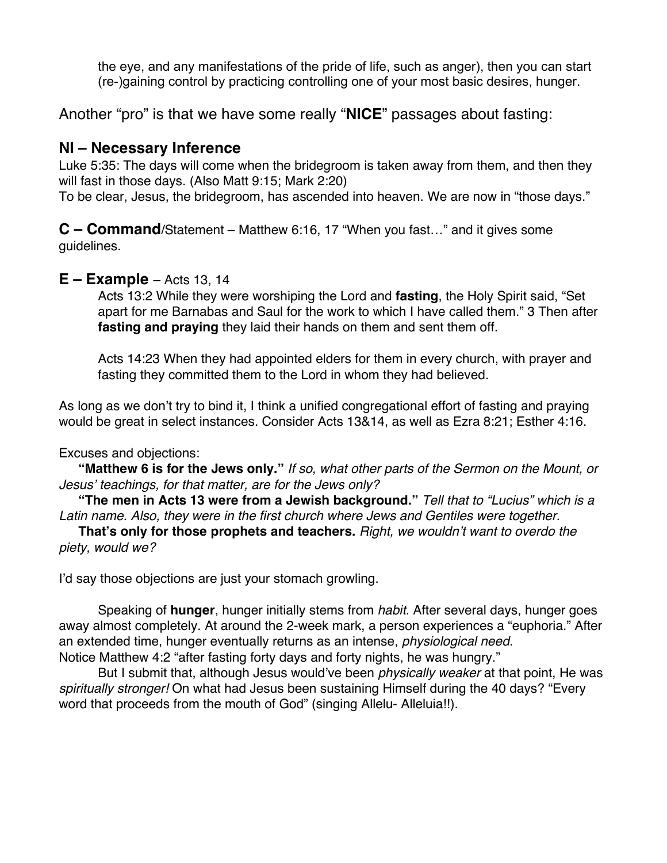the eye, and any manifestations of the pride of life, such as anger), then you can start (re-)gaining control by practicing controlling one of your most basic desires, hunger.

Another "pro" is that we have some really "**NICE**" passages about fasting:

## **NI – Necessary Inference**

Luke 5:35: The days will come when the bridegroom is taken away from them, and then they will fast in those days. (Also Matt 9:15; Mark 2:20)

To be clear, Jesus, the bridegroom, has ascended into heaven. We are now in "those days."

**C – Command**/Statement – Matthew 6:16, 17 "When you fast…" and it gives some guidelines.

#### **E – Example** – Acts 13, 14

Acts 13:2 While they were worshiping the Lord and **fasting**, the Holy Spirit said, "Set apart for me Barnabas and Saul for the work to which I have called them." 3 Then after **fasting and praying** they laid their hands on them and sent them off.

Acts 14:23 When they had appointed elders for them in every church, with prayer and fasting they committed them to the Lord in whom they had believed.

As long as we don't try to bind it, I think a unified congregational effort of fasting and praying would be great in select instances. Consider Acts 13&14, as well as Ezra 8:21; Esther 4:16.

#### Excuses and objections:

**"Matthew 6 is for the Jews only."** *If so, what other parts of the Sermon on the Mount, or Jesus*' *teachings, for that matter, are for the Jews only?*

**"The men in Acts 13 were from a Jewish background."** *Tell that to "Lucius" which is a Latin name. Also, they were in the first church where Jews and Gentiles were together.*

**That's only for those prophets and teachers.** *Right, we wouldn*'*t want to overdo the piety, would we?*

I'd say those objections are just your stomach growling.

Speaking of **hunger**, hunger initially stems from *habit*. After several days, hunger goes away almost completely. At around the 2-week mark, a person experiences a "euphoria." After an extended time, hunger eventually returns as an intense, *physiological need.* Notice Matthew 4:2 "after fasting forty days and forty nights, he was hungry."

But I submit that, although Jesus would've been *physically weaker* at that point, He was *spiritually stronger!* On what had Jesus been sustaining Himself during the 40 days? "Every word that proceeds from the mouth of God" (singing Allelu- Alleluia!!).